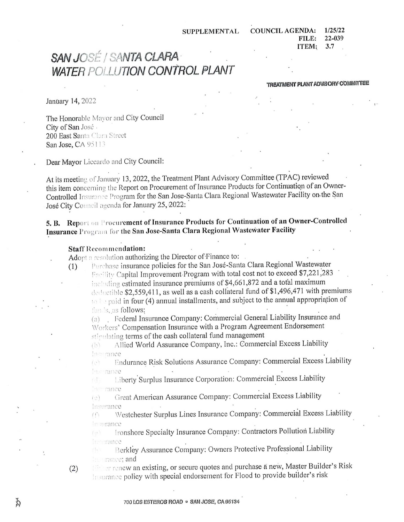**SUPPLEMENTAL** 

**COUNCIL AGENDA:**  $1/25/22$ FILE: 22-039 **ITEM: 3.7** 

## SAN JOSÉ / SANTA CLARA **WATER POLLUTION CONTROL PLANT**

## TREATMENT PLANT ADVISORY COMMITTEE

January 14, 2022

The Honorable Mayor and City Council City of San José. 200 East Santa Clara Street San Jose, CA 95113

Dear Mayor Liccardo and City Council:

At its meeting of January 13, 2022, the Treatment Plant Advisory Committee (TPAC) reviewed this item concerning the Report on Procurement of Insurance Products for Continuation of an Owner-Controlled Insurance Program for the San Jose-Santa Clara Regional Wastewater Facility on the San José City Council agenda for January 25, 2022:

5. B. Report on Procurement of Insurance Products for Continuation of an Owner-Controlled Insurance Program for the San Jose-Santa Clara Regional Wastewater Facility

## **Staff Recommendation:**

Adopt a resolution authorizing the Director of Finance to:

Purchase insurance policies for the San José-Santa Clara Regional Wastewater  $(1)$ Facility Capital Improvement Program with total cost not to exceed \$7,221,283 including estimated insurance premiums of \$4,661,872 and a total maximum

deductible \$2,559,411, as well as a cash collateral fund of \$1,496,471 with premiums to be paid in four (4) annual installments, and subject to the annual appropriation of funds, as follows:

(a) Federal Insurance Company: Commercial General Liability Insurance and Workers' Compensation Insurance with a Program Agreement Endorsement stinulating terms of the cash collateral fund management

Allied World Assurance Company, Inc.: Commercial Excess Liability  $(b)$ Insurance

Endurance Risk Solutions Assurance Company: Commercial Excess Liability  $(c)$ **has rance** 

Liberty Surplus Insurance Corporation: Commercial Excess Liability  $(1)$ rance

Great American Assurance Company: Commercial Excess Liability  $(0)$ Insurance

Westchester Surplus Lines Insurance Company: Commercial Excess Liability  $(1)$ Insurance

Ironshore Specialty Insurance Company: Contractors Pollution Liability  $(v)$ Insurance

Berkley Assurance Company: Owners Protective Professional Liability In rance: and

Hitter renew an existing, or secure quotes and purchase a new, Master Builder's Risk Insurance policy with special endorsement for Flood to provide builder's risk

 $(2)$